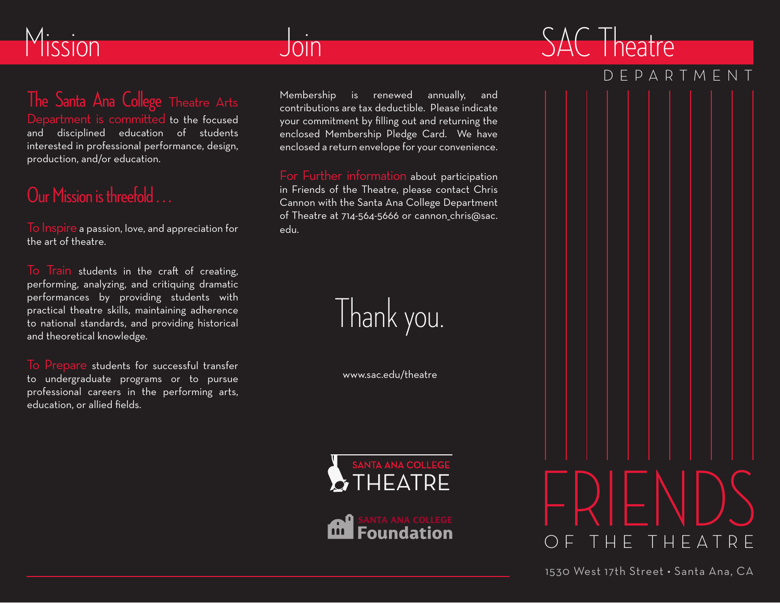## Mission

# Join

### The Santa Ana College Theatre Arts

Department is committed to the focused and disciplined education of students interested in professional performance, design, production, and/or education.

## Our Mission is threefold . . .

To Inspire a passion, love, and appreciation for the art of theatre.

To Train students in the craft of creating, performing, analyzing, and critiquing dramatic performances by providing students with practical theatre skills, maintaining adherence to national standards, and providing historical and theoretical knowledge.

To Prepare students for successful transfer to undergraduate programs or to pursue professional careers in the performing arts, education, or allied fields.

Membership is renewed annually, and contributions are tax deductible. Please indicate your commitment by filling out and returning the enclosed Membership Pledge Card. We have enclosed a return envelope for your convenience.

For Further information about participation in Friends of the Theatre, please contact Chris Cannon with the Santa Ana College Department of Theatre at 714-564-5666 or cannon chris@sac. edu.



www.sac.edu/theatre





### DEPARTMENT

SAC Theatre



1530 West 17th Street • Santa Ana, CA